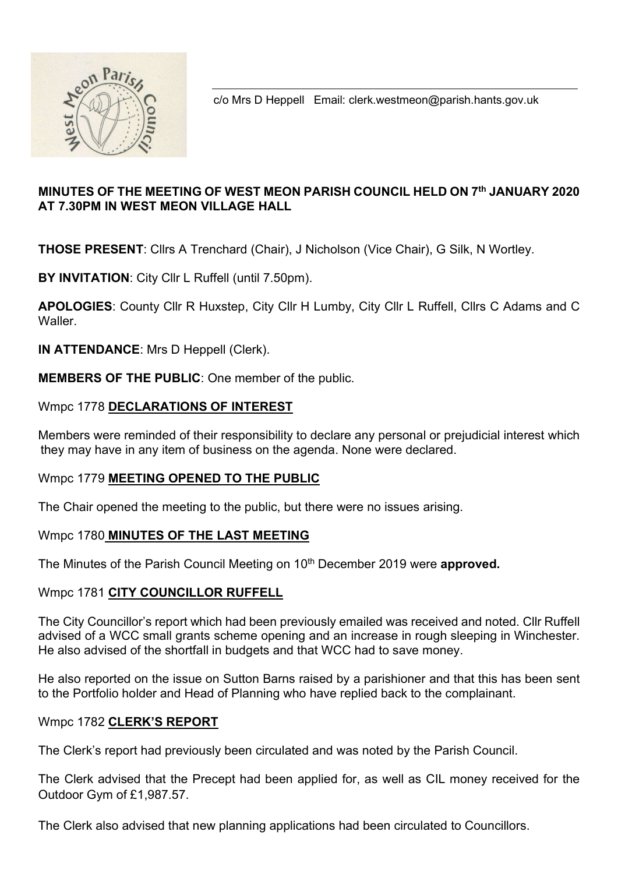

c/o Mrs D Heppell Email: clerk.westmeon@parish.hants.gov.uk

## MINUTES OF THE MEETING OF WEST MEON PARISH COUNCIL HELD ON 7th JANUARY 2020 AT 7.30PM IN WEST MEON VILLAGE HALL

THOSE PRESENT: Cllrs A Trenchard (Chair), J Nicholson (Vice Chair), G Silk, N Wortley.

BY INVITATION: City Cllr L Ruffell (until 7.50pm).

APOLOGIES: County Cllr R Huxstep, City Cllr H Lumby, City Cllr L Ruffell, Cllrs C Adams and C Waller.

IN ATTENDANCE: Mrs D Heppell (Clerk).

MEMBERS OF THE PUBLIC: One member of the public.

### Wmpc 1778 DECLARATIONS OF INTEREST

Members were reminded of their responsibility to declare any personal or prejudicial interest which they may have in any item of business on the agenda. None were declared.

#### Wmpc 1779 MEETING OPENED TO THE PUBLIC

The Chair opened the meeting to the public, but there were no issues arising.

#### Wmpc 1780 MINUTES OF THE LAST MEETING

The Minutes of the Parish Council Meeting on 10<sup>th</sup> December 2019 were **approved.** 

## Wmpc 1781 CITY COUNCILLOR RUFFELL

The City Councillor's report which had been previously emailed was received and noted. Cllr Ruffell advised of a WCC small grants scheme opening and an increase in rough sleeping in Winchester. He also advised of the shortfall in budgets and that WCC had to save money.

He also reported on the issue on Sutton Barns raised by a parishioner and that this has been sent to the Portfolio holder and Head of Planning who have replied back to the complainant.

#### Wmpc 1782 CLERK'S REPORT

The Clerk's report had previously been circulated and was noted by the Parish Council.

The Clerk advised that the Precept had been applied for, as well as CIL money received for the Outdoor Gym of £1,987.57.

The Clerk also advised that new planning applications had been circulated to Councillors.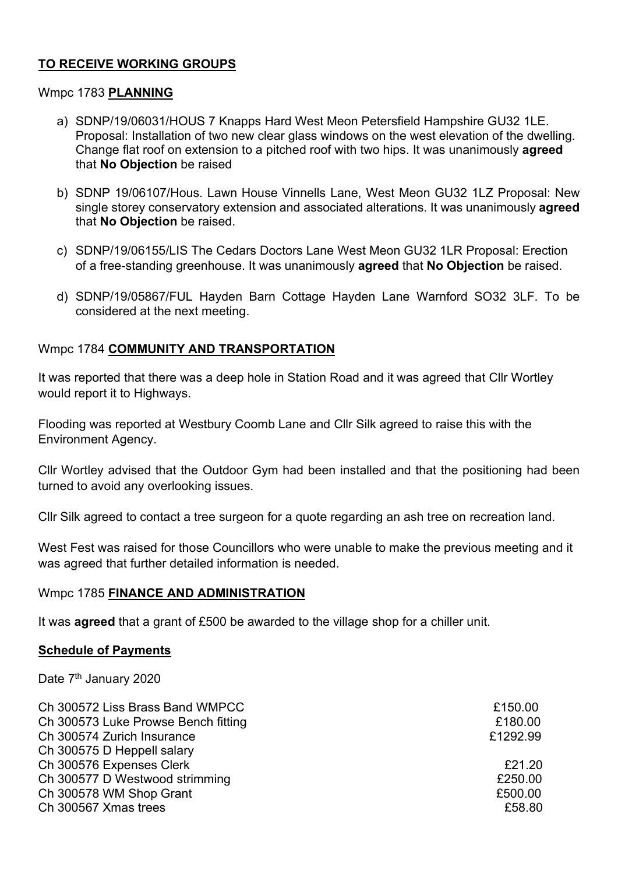## TO RECEIVE WORKING GROUPS

### Wmpc 1783 PLANNING

- a) SDNP/19/06031/HOUS 7 Knapps Hard West Meon Petersfield Hampshire GU32 1LE. Proposal: Installation of two new clear glass windows on the west elevation of the dwelling. Change flat roof on extension to a pitched roof with two hips. It was unanimously agreed that No Objection be raised
- b) SDNP 19/06107/Hous. Lawn House Vinnells Lane, West Meon GU32 1LZ Proposal: New single storey conservatory extension and associated alterations. It was unanimously **agreed** that No Objection be raised.
- c) SDNP/19/06155/LIS The Cedars Doctors Lane West Meon GU32 1LR Proposal: Erection of a free-standing greenhouse. It was unanimously agreed that No Objection be raised.
- d) SDNP/19/05867/FUL Hayden Barn Cottage Hayden Lane Warnford SO32 3LF. To be considered at the next meeting.

## Wmpc 1784 COMMUNITY AND TRANSPORTATION

It was reported that there was a deep hole in Station Road and it was agreed that Cllr Wortley would report it to Highways.

Flooding was reported at Westbury Coomb Lane and Cllr Silk agreed to raise this with the Environment Agency.

Cllr Wortley advised that the Outdoor Gym had been installed and that the positioning had been turned to avoid any overlooking issues.

Cllr Silk agreed to contact a tree surgeon for a quote regarding an ash tree on recreation land.

West Fest was raised for those Councillors who were unable to make the previous meeting and it was agreed that further detailed information is needed.

#### Wmpc 1785 FINANCE AND ADMINISTRATION

It was **agreed** that a grant of £500 be awarded to the village shop for a chiller unit.

#### Schedule of Payments

Date 7<sup>th</sup> January 2020

| Ch 300572 Liss Brass Band WMPCC     | £150.00  |
|-------------------------------------|----------|
| Ch 300573 Luke Prowse Bench fitting | £180.00  |
| Ch 300574 Zurich Insurance          | £1292.99 |
| Ch 300575 D Heppell salary          |          |
| Ch 300576 Expenses Clerk            | £21.20   |
| Ch 300577 D Westwood strimming      | £250.00  |
| Ch 300578 WM Shop Grant             | £500.00  |
| Ch 300567 Xmas trees                | £58.80   |